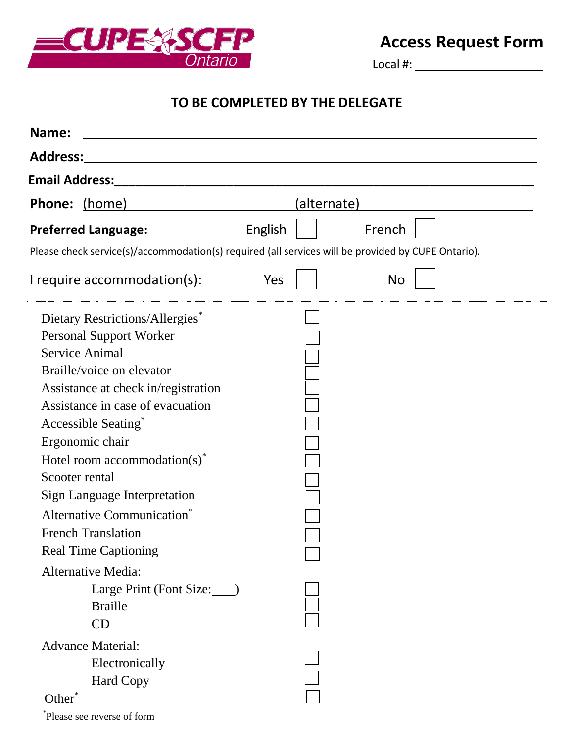

## **Access Request Form**

Local #:

## **TO BE COMPLETED BY THE DELEGATE**

| Name:                                                                                                                                                                                                                                                                                                                                                                                                                                                                                                                             |                                                                                                    |
|-----------------------------------------------------------------------------------------------------------------------------------------------------------------------------------------------------------------------------------------------------------------------------------------------------------------------------------------------------------------------------------------------------------------------------------------------------------------------------------------------------------------------------------|----------------------------------------------------------------------------------------------------|
| Address:                                                                                                                                                                                                                                                                                                                                                                                                                                                                                                                          |                                                                                                    |
| <b>Email Address:</b>                                                                                                                                                                                                                                                                                                                                                                                                                                                                                                             |                                                                                                    |
| Phone: (home)                                                                                                                                                                                                                                                                                                                                                                                                                                                                                                                     | (alternate)                                                                                        |
| <b>Preferred Language:</b>                                                                                                                                                                                                                                                                                                                                                                                                                                                                                                        | French<br>English                                                                                  |
|                                                                                                                                                                                                                                                                                                                                                                                                                                                                                                                                   | Please check service(s)/accommodation(s) required (all services will be provided by CUPE Ontario). |
| I require $accommodation(s)$ :                                                                                                                                                                                                                                                                                                                                                                                                                                                                                                    | Yes<br>No                                                                                          |
| Dietary Restrictions/Allergies <sup>*</sup><br><b>Personal Support Worker</b><br><b>Service Animal</b><br>Braille/voice on elevator<br>Assistance at check in/registration<br>Assistance in case of evacuation<br>Accessible Seating*<br>Ergonomic chair<br>Hotel room accommodation(s) <sup>*</sup><br>Scooter rental<br><b>Sign Language Interpretation</b><br>Alternative Communication <sup>*</sup><br><b>French Translation</b><br><b>Real Time Captioning</b><br><b>Alternative Media:</b><br>Large Print (Font Size: ____) |                                                                                                    |
| <b>Braille</b><br>CD                                                                                                                                                                                                                                                                                                                                                                                                                                                                                                              |                                                                                                    |
| <b>Advance Material:</b><br>Electronically<br><b>Hard Copy</b><br>Other <sup>*</sup><br>Please see reverse of form                                                                                                                                                                                                                                                                                                                                                                                                                |                                                                                                    |